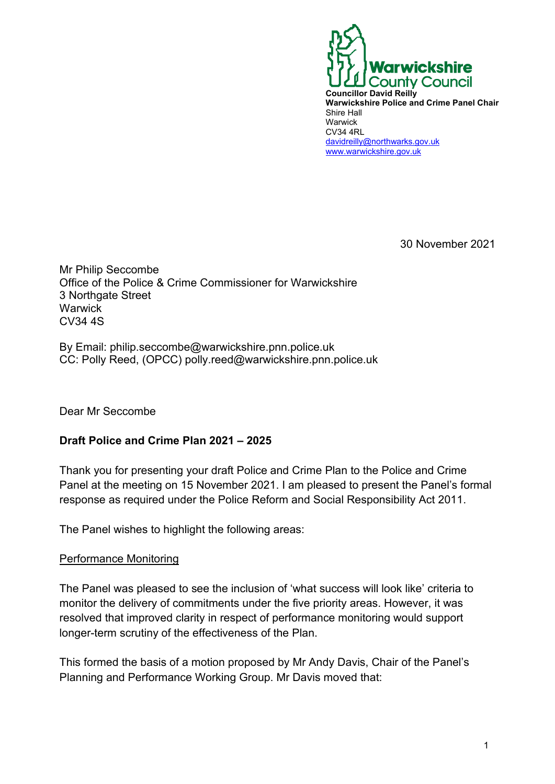

30 November 2021

Mr Philip Seccombe Office of the Police & Crime Commissioner for Warwickshire 3 Northgate Street **Warwick** CV34 4S

By Email: philip.seccombe@warwickshire.pnn.police.uk CC: Polly Reed, (OPCC) polly.reed@warwickshire.pnn.police.uk

Dear Mr Seccombe

# **Draft Police and Crime Plan 2021 – 2025**

Thank you for presenting your draft Police and Crime Plan to the Police and Crime Panel at the meeting on 15 November 2021. I am pleased to present the Panel's formal response as required under the Police Reform and Social Responsibility Act 2011.

The Panel wishes to highlight the following areas:

#### Performance Monitoring

The Panel was pleased to see the inclusion of 'what success will look like' criteria to monitor the delivery of commitments under the five priority areas. However, it was resolved that improved clarity in respect of performance monitoring would support longer-term scrutiny of the effectiveness of the Plan.

This formed the basis of a motion proposed by Mr Andy Davis, Chair of the Panel's Planning and Performance Working Group. Mr Davis moved that: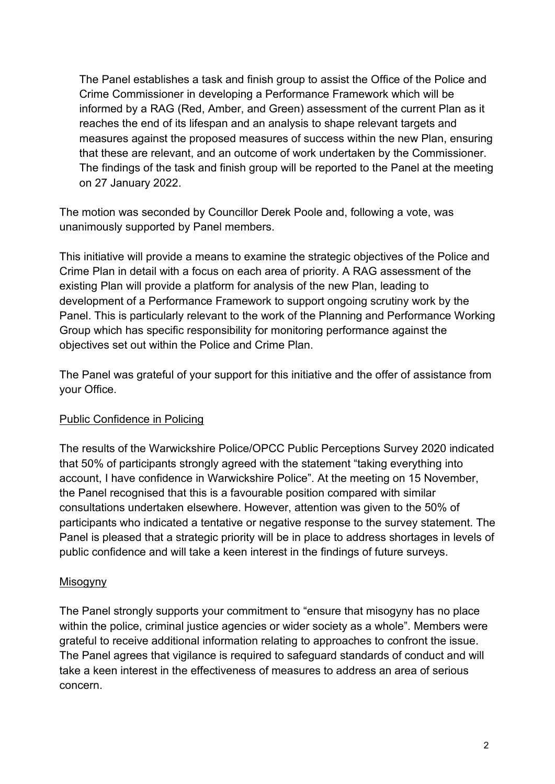The Panel establishes a task and finish group to assist the Office of the Police and Crime Commissioner in developing a Performance Framework which will be informed by a RAG (Red, Amber, and Green) assessment of the current Plan as it reaches the end of its lifespan and an analysis to shape relevant targets and measures against the proposed measures of success within the new Plan, ensuring that these are relevant, and an outcome of work undertaken by the Commissioner. The findings of the task and finish group will be reported to the Panel at the meeting on 27 January 2022.

The motion was seconded by Councillor Derek Poole and, following a vote, was unanimously supported by Panel members.

This initiative will provide a means to examine the strategic objectives of the Police and Crime Plan in detail with a focus on each area of priority. A RAG assessment of the existing Plan will provide a platform for analysis of the new Plan, leading to development of a Performance Framework to support ongoing scrutiny work by the Panel. This is particularly relevant to the work of the Planning and Performance Working Group which has specific responsibility for monitoring performance against the objectives set out within the Police and Crime Plan.

The Panel was grateful of your support for this initiative and the offer of assistance from your Office.

# Public Confidence in Policing

The results of the Warwickshire Police/OPCC Public Perceptions Survey 2020 indicated that 50% of participants strongly agreed with the statement "taking everything into account, I have confidence in Warwickshire Police". At the meeting on 15 November, the Panel recognised that this is a favourable position compared with similar consultations undertaken elsewhere. However, attention was given to the 50% of participants who indicated a tentative or negative response to the survey statement. The Panel is pleased that a strategic priority will be in place to address shortages in levels of public confidence and will take a keen interest in the findings of future surveys.

# Misogyny

The Panel strongly supports your commitment to "ensure that misogyny has no place within the police, criminal justice agencies or wider society as a whole". Members were grateful to receive additional information relating to approaches to confront the issue. The Panel agrees that vigilance is required to safeguard standards of conduct and will take a keen interest in the effectiveness of measures to address an area of serious concern.